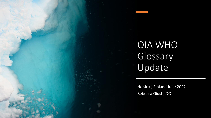

# OIA WHO Glossary Update

Helsinki, Finland June 2022 Rebecca Giusti, DO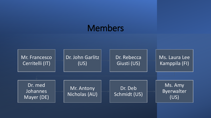## Members

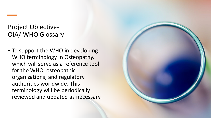#### Project Objective-OIA/ WHO Glossary

• To support the WHO in developing WHO terminology in Osteopathy, which will serve as a reference tool for the WHO, osteopathic organizations, and regulatory authorities worldwide. This terminology will be periodically reviewed and updated as necessary.

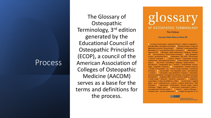#### Process

The Glossary of **Osteopathic** Terminology, 3rd edition generated by the Educational Council of Osteopathic Principles (ECOP), a council of the American Association of Colleges of Osteopathic Medicine (AACOM) serves as a base for the terms and definitions for the process.



**Executive Editor Rebecca Giusti, DO** 

A / accessory movements / anatomical barrier / anterior component / articular pillar / articulatory technique / # / backward torsion / balanced ligamentous tension / biomechanics / 0 / cephalad / cerebrospinal fluid. fluctuation of / cervicolumbar reflex / contraction / 0 / deformation / depressed rib / / effleurage / elastic deformation / elasticity / elevated rib / / facet symmetry / fascial release technique / 6 / gait / glymphatic system / gravitational line / # / habituation / hip bone / homeostasis / Hoover technique / | / indirect method / innominate somatic dysfunctions / intersegmental motion / 1 / Jones technique / junctional region / K / key lesion / kinesthesia / klapping / kyphoscoliosis / | / lateroflexion / longitudinal axis / lordosis / lumbolumbar lordotic angle / lymphatic treatment / M / manipulation / manual medicine / models of osteopathic care / muscle energy technique / myofascial technique / N / neurotrophy / non-allopathic lesion / normalization / nutation / 0 / osteopathic musculoskeletal evaluation / osteopathic postural examination / osteopathic practitioner / osteopathic structural examination / P / palpatory skills / passive method / patient cooperation / pedal pump / plasticity / posterior component / | / respiratory cooperation / reciprocal inhibition / reflex / 8 / sacral torsion / sagittal plane / scan / scaphoid head / scoliosis / somatic dysfunction / Still technique / | / tapotement / tenderpoints / thoracic pump / thrust technique / trigger point / 1 / uncommon compensatory pattern / uncompensated fascial pattern / V / velocity / ventral technique / vertebral unit / visceral dysfunction / W / weight-bearing line of L3

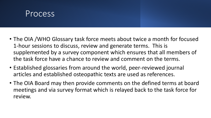

- The OIA /WHO Glossary task force meets about twice a month for focused 1-hour sessions to discuss, review and generate terms. This is supplemented by a survey component which ensures that all members of the task force have a chance to review and comment on the terms.
- Established glossaries from around the world, peer-reviewed journal articles and established osteopathic texts are used as references.
- The OIA Board may then provide comments on the defined terms at board meetings and via survey format which is relayed back to the task force for review.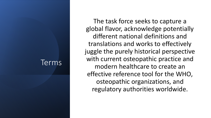#### Terms

The task force seeks to capture a global flavor, acknowledge potentially different national definitions and translations and works to effectively juggle the purely historical perspective with current osteopathic practice and modern healthcare to create an effective reference tool for the WHO, osteopathic organizations, and regulatory authorities worldwide.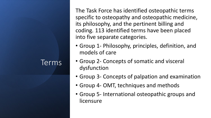### Terms

The Task Force has identified osteopathic terms specific to osteopathy and osteopathic medicine, its philosophy, and the pertinent billing and coding. 113 identified terms have been placed into five separate categories.

- Group 1- Philosophy, principles, definition, and models of care
- Group 2- Concepts of somatic and visceral dysfunction
- Group 3- Concepts of palpation and examination
- Group 4- OMT, techniques and methods
- Group 5- International osteopathic groups and licensure